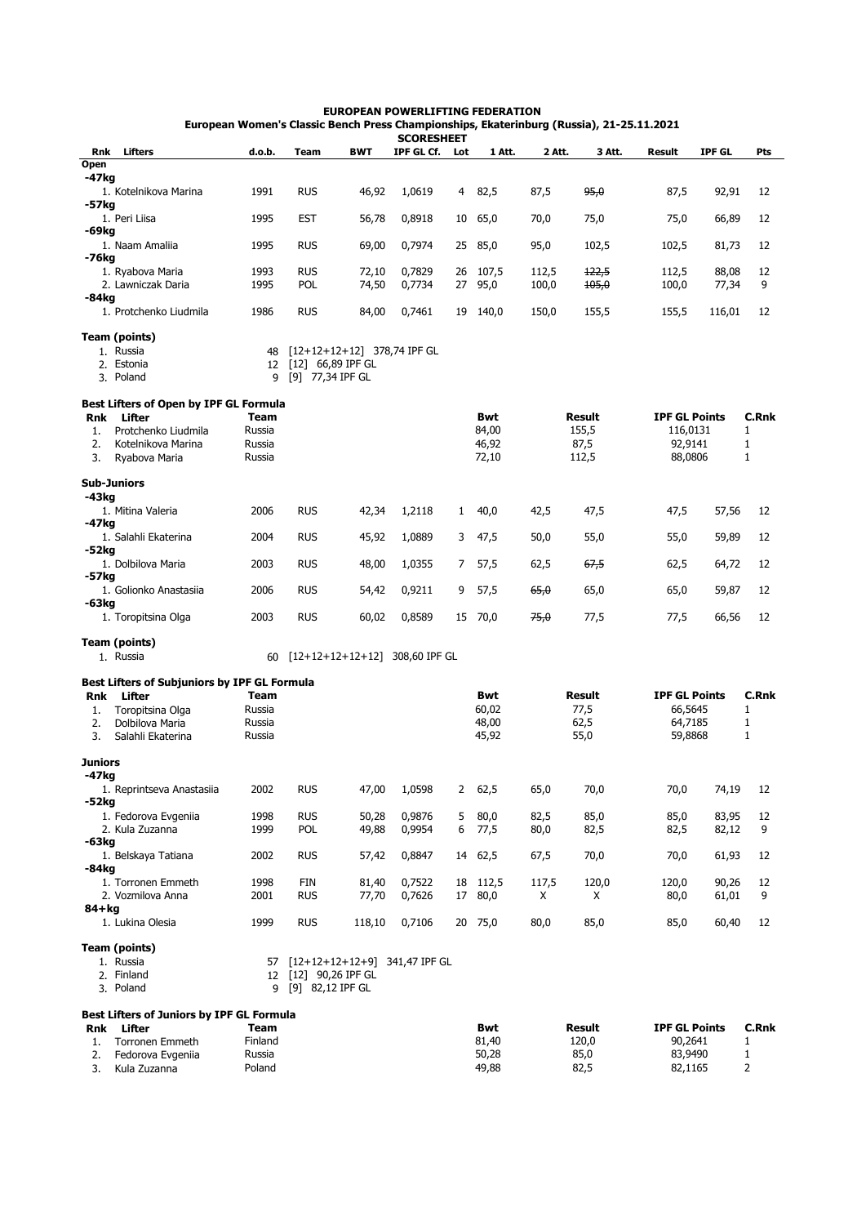## **EUROPEAN POWERLIFTING FEDERATION European Women's Classic Bench Press Championships, Ekaterinburg (Russia), 21-25.11.2021**

|            |                                              |             |                      |                                  | <b>SCORESHEET</b> |              |            |        |               |                      |               |              |
|------------|----------------------------------------------|-------------|----------------------|----------------------------------|-------------------|--------------|------------|--------|---------------|----------------------|---------------|--------------|
| Rnk        | Lifters                                      | d.o.b.      | Team                 | <b>BWT</b>                       | IPF GL Cf.        | Lot          | 1 Att.     | 2 Att. | 3 Att.        | <b>Result</b>        | <b>IPF GL</b> | Pts          |
| Open       |                                              |             |                      |                                  |                   |              |            |        |               |                      |               |              |
| -47kg      |                                              |             |                      |                                  |                   |              |            |        |               |                      |               |              |
|            | 1. Kotelnikova Marina                        | 1991        | <b>RUS</b>           | 46,92                            | 1,0619            | 4            | 82,5       | 87,5   | 95,0          | 87,5                 | 92,91         | 12           |
| -57kg      |                                              |             |                      |                                  |                   |              |            |        |               |                      |               |              |
|            | 1. Peri Liisa                                | 1995        | <b>EST</b>           | 56,78                            | 0,8918            | 10           | 65,0       | 70,0   | 75,0          | 75,0                 | 66,89         | 12           |
| -69kg      |                                              |             |                      |                                  |                   |              |            |        |               |                      |               |              |
| -76kg      | 1. Naam Amaliia                              | 1995        | <b>RUS</b>           | 69,00                            | 0,7974            | 25           | 85,0       | 95,0   | 102,5         | 102,5                | 81,73         | 12           |
|            | 1. Ryabova Maria                             | 1993        | <b>RUS</b>           | 72,10                            | 0,7829            |              | 26 107,5   | 112,5  | 122,5         | 112,5                | 88,08         | 12           |
|            | 2. Lawniczak Daria                           | 1995        | <b>POL</b>           | 74,50                            | 0,7734            | 27           | 95,0       | 100,0  | 105,0         | 100,0                | 77,34         | 9            |
| -84kg      |                                              |             |                      |                                  |                   |              |            |        |               |                      |               |              |
|            | 1. Protchenko Liudmila                       | 1986        | <b>RUS</b>           | 84,00                            | 0,7461            | 19           | 140,0      | 150,0  | 155,5         | 155,5                | 116,01        | 12           |
|            |                                              |             |                      |                                  |                   |              |            |        |               |                      |               |              |
|            | <b>Team (points)</b>                         |             |                      |                                  |                   |              |            |        |               |                      |               |              |
|            | 1. Russia                                    | 48          |                      | $[12+12+12+12]$ 378,74 IPF GL    |                   |              |            |        |               |                      |               |              |
|            | 2. Estonia                                   | 12          | $[12]$ 66,89 IPF GL  |                                  |                   |              |            |        |               |                      |               |              |
|            | 3. Poland                                    | 9           | [9] 77,34 IPF GL     |                                  |                   |              |            |        |               |                      |               |              |
|            |                                              |             |                      |                                  |                   |              |            |        |               |                      |               |              |
|            | Best Lifters of Open by IPF GL Formula       |             |                      |                                  |                   |              |            |        |               |                      |               |              |
| <b>Rnk</b> | Lifter                                       | <b>Team</b> |                      |                                  |                   |              | Bwt        |        | <b>Result</b> | <b>IPF GL Points</b> |               | C.Rnk        |
| 1.         | Protchenko Liudmila                          | Russia      |                      |                                  |                   |              | 84,00      |        | 155,5         | 116,0131             |               | 1            |
| 2.         | Kotelnikova Marina                           | Russia      |                      |                                  |                   |              | 46,92      |        | 87,5          | 92,9141              |               | 1            |
| 3.         | Ryabova Maria                                | Russia      |                      |                                  |                   |              | 72,10      |        | 112,5         | 88,0806              |               | $\mathbf{1}$ |
|            |                                              |             |                      |                                  |                   |              |            |        |               |                      |               |              |
|            | <b>Sub-Juniors</b>                           |             |                      |                                  |                   |              |            |        |               |                      |               |              |
| -43kg      |                                              |             |                      |                                  |                   |              |            |        |               |                      |               |              |
|            | 1. Mitina Valeria                            | 2006        | <b>RUS</b>           | 42,34                            | 1,2118            | $\mathbf{1}$ | 40,0       | 42,5   | 47,5          | 47,5                 | 57,56         | 12           |
| -47kg      |                                              |             |                      |                                  |                   |              |            |        |               |                      |               |              |
|            | 1. Salahli Ekaterina                         | 2004        | <b>RUS</b>           | 45,92                            | 1,0889            | 3            | 47,5       | 50,0   | 55,0          | 55,0                 | 59,89         | 12           |
| -52kg      |                                              |             |                      |                                  |                   |              |            |        |               |                      |               |              |
|            | 1. Dolbilova Maria                           | 2003        | <b>RUS</b>           | 48,00                            | 1,0355            | 7            | 57,5       | 62,5   | 67,5          | 62,5                 | 64,72         | 12           |
| -57kg      |                                              |             |                      |                                  |                   |              |            |        |               |                      |               |              |
| -63kg      | 1. Golionko Anastasiia                       | 2006        | <b>RUS</b>           | 54,42                            | 0,9211            | 9            | 57,5       | 65,0   | 65,0          | 65,0                 | 59,87         | 12           |
|            | 1. Toropitsina Olga                          | 2003        | <b>RUS</b>           | 60,02                            | 0,8589            |              | 15 70,0    | 75,0   | 77,5          | 77,5                 | 66,56         | 12           |
|            |                                              |             |                      |                                  |                   |              |            |        |               |                      |               |              |
|            | Team (points)                                |             |                      |                                  |                   |              |            |        |               |                      |               |              |
|            | 1. Russia                                    | 60          |                      | $[12+12+12+12+12]$ 308,60 IPF GL |                   |              |            |        |               |                      |               |              |
|            |                                              |             |                      |                                  |                   |              |            |        |               |                      |               |              |
|            | Best Lifters of Subjuniors by IPF GL Formula |             |                      |                                  |                   |              |            |        |               |                      |               |              |
| <b>Rnk</b> | Lifter                                       | Team        |                      |                                  |                   |              | <b>Bwt</b> |        | <b>Result</b> | <b>IPF GL Points</b> |               | <b>C.Rnk</b> |
| 1.         | Toropitsina Olga                             | Russia      |                      |                                  |                   |              | 60,02      |        | 77,5          | 66,5645              |               | 1            |
| 2.         | Dolbilova Maria                              | Russia      |                      |                                  |                   |              | 48,00      |        | 62,5          | 64,7185              |               | 1            |
| 3.         | Salahli Ekaterina                            | Russia      |                      |                                  |                   |              | 45,92      |        | 55,0          | 59,8868              |               | $\mathbf{1}$ |
|            |                                              |             |                      |                                  |                   |              |            |        |               |                      |               |              |
| Juniors    |                                              |             |                      |                                  |                   |              |            |        |               |                      |               |              |
| -47kg      |                                              |             |                      |                                  |                   |              |            |        |               |                      |               |              |
|            | 1. Reprintseva Anastasiia                    | 2002        | <b>RUS</b>           | 47,00                            | 1,0598            | 2            | 62,5       | 65,0   | 70,0          | 70,0                 | 74,19         | 12           |
| -52kg      |                                              |             |                      |                                  |                   |              |            |        |               |                      |               |              |
|            | 1. Fedorova Evgeniia                         | 1998        | <b>RUS</b>           | 50,28                            | 0,9876            | 5            | 80,0       | 82,5   | 85,0          | 85,0                 | 83,95         | 12           |
|            | 2. Kula Zuzanna                              | 1999        | POL                  | 49,88                            | 0,9954            | 6            | 77,5       | 80,0   | 82,5          | 82,5                 | 82,12         | 9            |
| -63kg      |                                              |             |                      |                                  |                   |              |            |        |               |                      |               |              |
| -84kg      | 1. Belskaya Tatiana                          | 2002        | <b>RUS</b>           | 57,42                            | 0,8847            |              | 14 62,5    | 67,5   | 70,0          | 70,0                 | 61,93         | 12           |
|            | 1. Torronen Emmeth                           | 1998        | FIN                  | 81,40                            | 0,7522            |              | 18 112,5   | 117,5  | 120,0         | 120,0                | 90,26         | 12           |
|            | 2. Vozmilova Anna                            | 2001        | <b>RUS</b>           | 77,70                            | 0,7626            | 17           | 80,0       | X      | X             | 80,0                 | 61,01         | 9            |
| 84+kg      |                                              |             |                      |                                  |                   |              |            |        |               |                      |               |              |
|            | 1. Lukina Olesia                             | 1999        | <b>RUS</b>           | 118,10                           | 0,7106            |              | 20 75,0    | 80,0   | 85,0          | 85,0                 | 60,40         | 12           |
|            |                                              |             |                      |                                  |                   |              |            |        |               |                      |               |              |
|            | Team (points)                                |             |                      |                                  |                   |              |            |        |               |                      |               |              |
|            | 1. Russia                                    | 57          |                      | [12+12+12+12+9] 341,47 IPF GL    |                   |              |            |        |               |                      |               |              |
|            | 2. Finland                                   |             | 12 [12] 90,26 IPF GL |                                  |                   |              |            |        |               |                      |               |              |
|            | 3. Poland                                    | 9           | [9] 82,12 IPF GL     |                                  |                   |              |            |        |               |                      |               |              |
|            |                                              |             |                      |                                  |                   |              |            |        |               |                      |               |              |
|            | Best Lifters of Juniors by IPF GL Formula    |             |                      |                                  |                   |              |            |        |               |                      |               |              |
| Rnk        | Lifter                                       | Team        |                      |                                  |                   |              | <b>Bwt</b> |        | Result        | <b>IPF GL Points</b> |               | C.Rnk        |
| 1.         | Torronen Emmeth                              | Finland     |                      |                                  |                   |              | 81,40      |        | 120,0         | 90,2641              |               | $\mathbf{1}$ |

Russia 50,28 85,0 83,9490 1 Poland 2012 12:03:049,88 82,5 82,1165 82,1165 82,1165 82,1165 82,1165 82,1165 82,1165 82,1165 82,1165

2. Fedorova Evgeniia 3. Kula Zuzanna